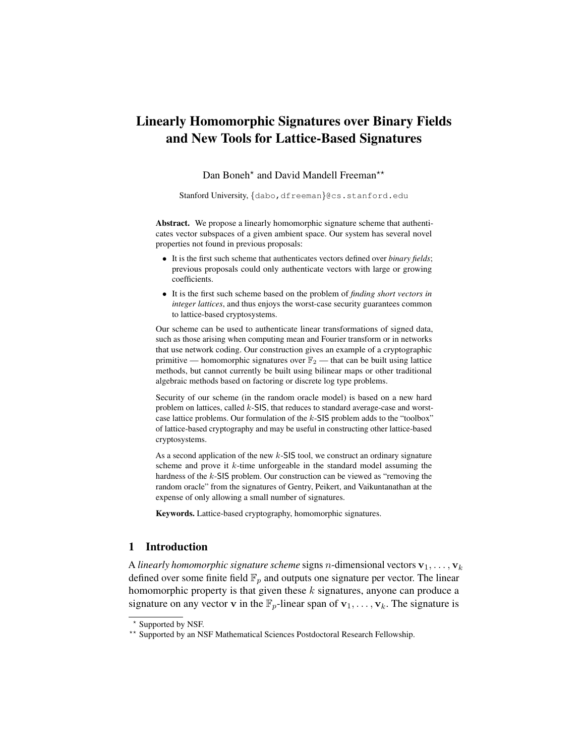# Linearly Homomorphic Signatures over Binary Fields and New Tools for Lattice-Based Signatures

Dan Boneh<sup>\*</sup> and David Mandell Freeman<sup>\*\*</sup>

Stanford University, {dabo, dfreeman}@cs.stanford.edu

Abstract. We propose a linearly homomorphic signature scheme that authenticates vector subspaces of a given ambient space. Our system has several novel properties not found in previous proposals:

- It is the first such scheme that authenticates vectors defined over *binary fields*; previous proposals could only authenticate vectors with large or growing coefficients.
- It is the first such scheme based on the problem of *finding short vectors in integer lattices*, and thus enjoys the worst-case security guarantees common to lattice-based cryptosystems.

Our scheme can be used to authenticate linear transformations of signed data, such as those arising when computing mean and Fourier transform or in networks that use network coding. Our construction gives an example of a cryptographic primitive — homomorphic signatures over  $\mathbb{F}_2$  — that can be built using lattice methods, but cannot currently be built using bilinear maps or other traditional algebraic methods based on factoring or discrete log type problems.

Security of our scheme (in the random oracle model) is based on a new hard problem on lattices, called  $k$ -SIS, that reduces to standard average-case and worstcase lattice problems. Our formulation of the k-SIS problem adds to the "toolbox" of lattice-based cryptography and may be useful in constructing other lattice-based cryptosystems.

As a second application of the new  $k$ -SIS tool, we construct an ordinary signature scheme and prove it  $k$ -time unforgeable in the standard model assuming the hardness of the k-SIS problem. Our construction can be viewed as "removing the random oracle" from the signatures of Gentry, Peikert, and Vaikuntanathan at the expense of only allowing a small number of signatures.

Keywords. Lattice-based cryptography, homomorphic signatures.

# 1 Introduction

A *linearly homomorphic signature scheme* signs *n*-dimensional vectors  $\mathbf{v}_1, \ldots, \mathbf{v}_k$ defined over some finite field  $\mathbb{F}_p$  and outputs one signature per vector. The linear homomorphic property is that given these  $k$  signatures, anyone can produce a signature on any vector v in the  $\mathbb{F}_p$ -linear span of  $\mathbf{v}_1, \ldots, \mathbf{v}_k$ . The signature is

<sup>?</sup> Supported by NSF.

<sup>\*\*</sup> Supported by an NSF Mathematical Sciences Postdoctoral Research Fellowship.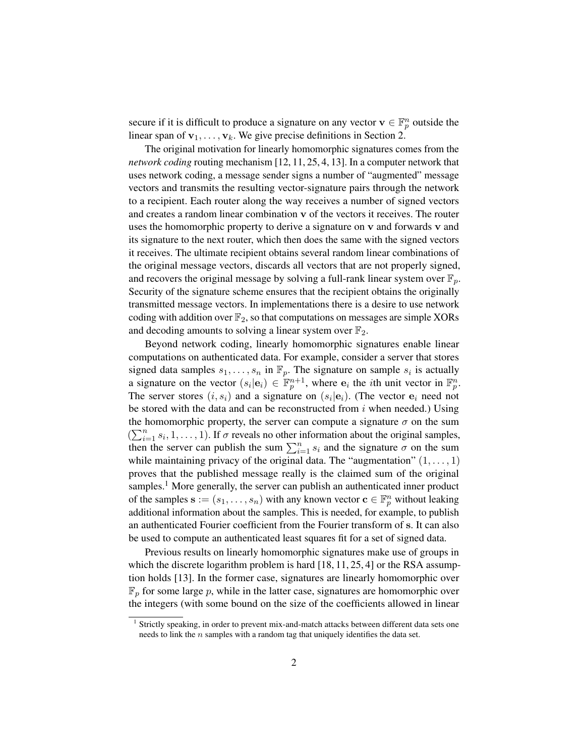secure if it is difficult to produce a signature on any vector  $\mathbf{v} \in \mathbb{F}_p^n$  outside the linear span of  $v_1, \ldots, v_k$ . We give precise definitions in Section 2.

The original motivation for linearly homomorphic signatures comes from the *network coding* routing mechanism [12, 11, 25, 4, 13]. In a computer network that uses network coding, a message sender signs a number of "augmented" message vectors and transmits the resulting vector-signature pairs through the network to a recipient. Each router along the way receives a number of signed vectors and creates a random linear combination v of the vectors it receives. The router uses the homomorphic property to derive a signature on v and forwards v and its signature to the next router, which then does the same with the signed vectors it receives. The ultimate recipient obtains several random linear combinations of the original message vectors, discards all vectors that are not properly signed, and recovers the original message by solving a full-rank linear system over  $\mathbb{F}_p$ . Security of the signature scheme ensures that the recipient obtains the originally transmitted message vectors. In implementations there is a desire to use network coding with addition over  $\mathbb{F}_2$ , so that computations on messages are simple XORs and decoding amounts to solving a linear system over  $\mathbb{F}_2$ .

Beyond network coding, linearly homomorphic signatures enable linear computations on authenticated data. For example, consider a server that stores signed data samples  $s_1, \ldots, s_n$  in  $\mathbb{F}_p$ . The signature on sample  $s_i$  is actually a signature on the vector  $(s_i | e_i) \in \mathbb{F}_p^{n+1}$ , where  $e_i$  the *i*th unit vector in  $\mathbb{F}_p^n$ . The server stores  $(i, s_i)$  and a signature on  $(s_i | e_i)$ . (The vector  $e_i$  need not be stored with the data and can be reconstructed from  $i$  when needed.) Using the homomorphic property, the server can compute a signature  $\sigma$  on the sum  $(\sum_{i=1}^n s_i, 1, \ldots, 1)$ . If  $\sigma$  reveals no other information about the original samples, then the server can publish the sum  $\sum_{i=1}^{n} s_i$  and the signature  $\sigma$  on the sum while maintaining privacy of the original data. The "augmentation"  $(1, \ldots, 1)$ proves that the published message really is the claimed sum of the original samples.<sup>1</sup> More generally, the server can publish an authenticated inner product of the samples  $\mathbf{s} := (s_1, \dots, s_n)$  with any known vector  $\mathbf{c} \in \mathbb{F}_p^n$  without leaking additional information about the samples. This is needed, for example, to publish an authenticated Fourier coefficient from the Fourier transform of s. It can also be used to compute an authenticated least squares fit for a set of signed data.

Previous results on linearly homomorphic signatures make use of groups in which the discrete logarithm problem is hard [18, 11, 25, 4] or the RSA assumption holds [13]. In the former case, signatures are linearly homomorphic over  $\mathbb{F}_p$  for some large p, while in the latter case, signatures are homomorphic over the integers (with some bound on the size of the coefficients allowed in linear

<sup>&</sup>lt;sup>1</sup> Strictly speaking, in order to prevent mix-and-match attacks between different data sets one needs to link the  $n$  samples with a random tag that uniquely identifies the data set.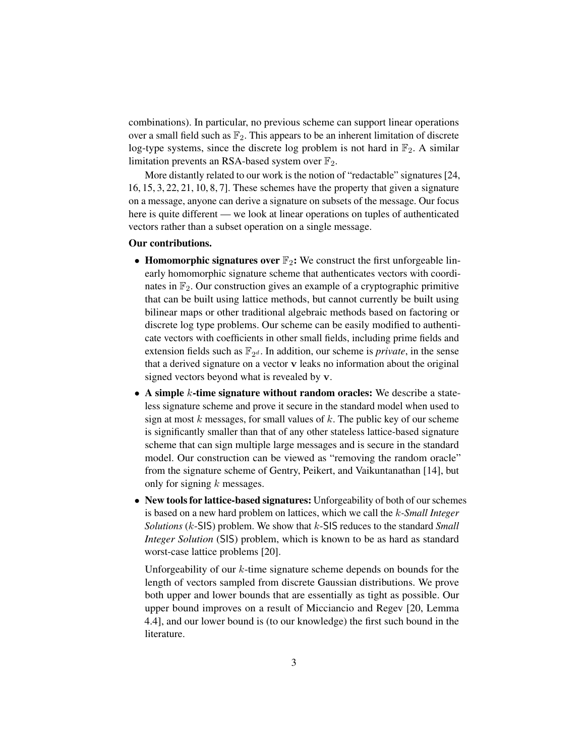combinations). In particular, no previous scheme can support linear operations over a small field such as  $\mathbb{F}_2$ . This appears to be an inherent limitation of discrete log-type systems, since the discrete log problem is not hard in  $\mathbb{F}_2$ . A similar limitation prevents an RSA-based system over  $\mathbb{F}_2$ .

More distantly related to our work is the notion of "redactable" signatures [24, 16, 15, 3, 22, 21, 10, 8, 7]. These schemes have the property that given a signature on a message, anyone can derive a signature on subsets of the message. Our focus here is quite different — we look at linear operations on tuples of authenticated vectors rather than a subset operation on a single message.

### Our contributions.

- Homomorphic signatures over  $\mathbb{F}_2$ : We construct the first unforgeable linearly homomorphic signature scheme that authenticates vectors with coordinates in  $\mathbb{F}_2$ . Our construction gives an example of a cryptographic primitive that can be built using lattice methods, but cannot currently be built using bilinear maps or other traditional algebraic methods based on factoring or discrete log type problems. Our scheme can be easily modified to authenticate vectors with coefficients in other small fields, including prime fields and extension fields such as  $\mathbb{F}_{2^d}$ . In addition, our scheme is *private*, in the sense that a derived signature on a vector v leaks no information about the original signed vectors beyond what is revealed by v.
- A simple  $k$ -time signature without random oracles: We describe a stateless signature scheme and prove it secure in the standard model when used to sign at most  $k$  messages, for small values of  $k$ . The public key of our scheme is significantly smaller than that of any other stateless lattice-based signature scheme that can sign multiple large messages and is secure in the standard model. Our construction can be viewed as "removing the random oracle" from the signature scheme of Gentry, Peikert, and Vaikuntanathan [14], but only for signing  $k$  messages.
- New tools for lattice-based signatures: Unforgeability of both of our schemes is based on a new hard problem on lattices, which we call the k*-Small Integer Solutions* (k-SIS) problem. We show that k-SIS reduces to the standard *Small Integer Solution* (SIS) problem, which is known to be as hard as standard worst-case lattice problems [20].

Unforgeability of our k-time signature scheme depends on bounds for the length of vectors sampled from discrete Gaussian distributions. We prove both upper and lower bounds that are essentially as tight as possible. Our upper bound improves on a result of Micciancio and Regev [20, Lemma 4.4], and our lower bound is (to our knowledge) the first such bound in the literature.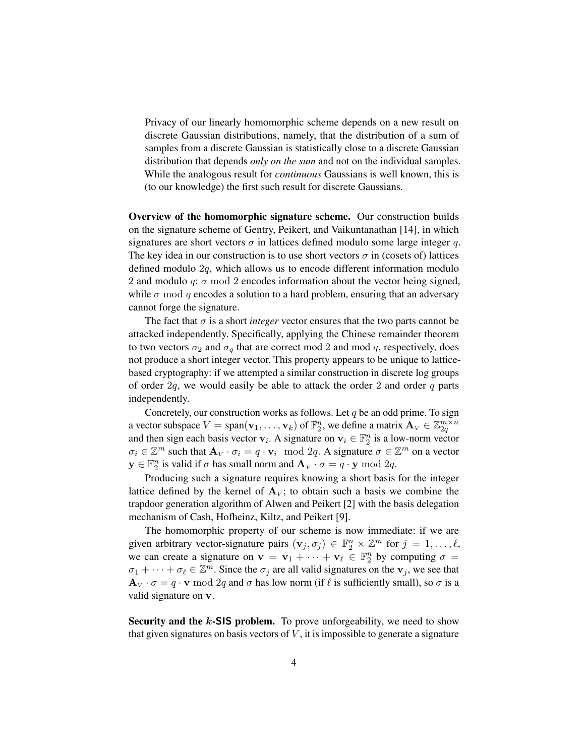Privacy of our linearly homomorphic scheme depends on a new result on discrete Gaussian distributions, namely, that the distribution of a sum of samples from a discrete Gaussian is statistically close to a discrete Gaussian distribution that depends *only on the sum* and not on the individual samples. While the analogous result for *continuous* Gaussians is well known, this is (to our knowledge) the first such result for discrete Gaussians.

Overview of the homomorphic signature scheme. Our construction builds on the signature scheme of Gentry, Peikert, and Vaikuntanathan [14], in which signatures are short vectors  $\sigma$  in lattices defined modulo some large integer q. The key idea in our construction is to use short vectors  $\sigma$  in (cosets of) lattices defined modulo 2q, which allows us to encode different information modulo 2 and modulo q:  $\sigma$  mod 2 encodes information about the vector being signed, while  $\sigma$  mod q encodes a solution to a hard problem, ensuring that an adversary cannot forge the signature.

The fact that  $\sigma$  is a short *integer* vector ensures that the two parts cannot be attacked independently. Specifically, applying the Chinese remainder theorem to two vectors  $\sigma_2$  and  $\sigma_q$  that are correct mod 2 and mod q, respectively, does not produce a short integer vector. This property appears to be unique to latticebased cryptography: if we attempted a similar construction in discrete log groups of order  $2q$ , we would easily be able to attack the order 2 and order q parts independently.

Concretely, our construction works as follows. Let  $q$  be an odd prime. To sign a vector subspace  $V = \text{span}(\mathbf{v}_1, \dots, \mathbf{v}_k)$  of  $\mathbb{F}_2^n$ , we define a matrix  $\mathbf{A}_V \in \mathbb{Z}_{2q}^{m \times n}$ and then sign each basis vector  $v_i$ . A signature on  $v_i \in \mathbb{F}_2^n$  is a low-norm vector  $\sigma_i \in \mathbb{Z}^m$  such that  $\mathbf{A}_V \cdot \sigma_i = q \cdot \mathbf{v}_i \mod 2q$ . A signature  $\sigma \in \mathbb{Z}^m$  on a vector  $y \in \mathbb{F}_2^n$  is valid if  $\sigma$  has small norm and  $\mathbf{A}_V \cdot \sigma = q \cdot y \mod 2q$ .

Producing such a signature requires knowing a short basis for the integer lattice defined by the kernel of  $A_V$ ; to obtain such a basis we combine the trapdoor generation algorithm of Alwen and Peikert [2] with the basis delegation mechanism of Cash, Hofheinz, Kiltz, and Peikert [9].

The homomorphic property of our scheme is now immediate: if we are given arbitrary vector-signature pairs  $(v_j, \sigma_j) \in \mathbb{F}_2^n \times \mathbb{Z}^m$  for  $j = 1, \ldots, \ell$ , we can create a signature on  $\mathbf{v} = \mathbf{v}_1 + \cdots + \mathbf{v}_{\ell} \in \mathbb{F}_2^n$  by computing  $\sigma =$  $\sigma_1 + \cdots + \sigma_\ell \in \mathbb{Z}^m$ . Since the  $\sigma_j$  are all valid signatures on the  $\mathbf{v}_j$ , we see that  $\mathbf{A}_V \cdot \sigma = q \cdot \mathbf{v} \mod 2q$  and  $\sigma$  has low norm (if  $\ell$  is sufficiently small), so  $\sigma$  is a valid signature on v.

Security and the  $k$ -SIS problem. To prove unforgeability, we need to show that given signatures on basis vectors of  $V$ , it is impossible to generate a signature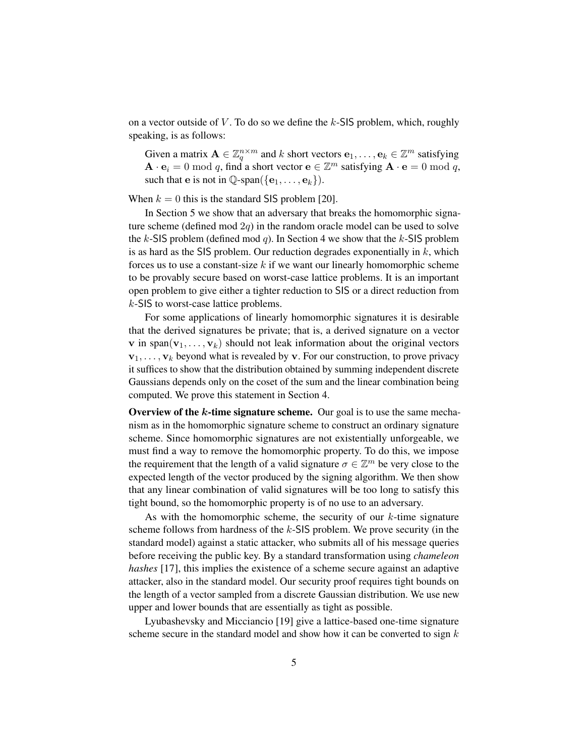on a vector outside of  $V$ . To do so we define the  $k$ -SIS problem, which, roughly speaking, is as follows:

Given a matrix  $\mathbf{A} \in \mathbb{Z}_q^{n \times m}$  and k short vectors  $\mathbf{e}_1, \dots, \mathbf{e}_k \in \mathbb{Z}^m$  satisfying  $\mathbf{A} \cdot \mathbf{e}_i = 0 \bmod q$ , find a short vector  $\mathbf{e} \in \mathbb{Z}^m$  satisfying  $\mathbf{A} \cdot \mathbf{e} = 0 \bmod q$ , such that e is not in  $\mathbb{Q}$ -span({ $\{e_1, \ldots, e_k\}$ }.

When  $k = 0$  this is the standard SIS problem [20].

In Section 5 we show that an adversary that breaks the homomorphic signature scheme (defined mod  $2q$ ) in the random oracle model can be used to solve the k-SIS problem (defined mod q). In Section 4 we show that the k-SIS problem is as hard as the SIS problem. Our reduction degrades exponentially in  $k$ , which forces us to use a constant-size  $k$  if we want our linearly homomorphic scheme to be provably secure based on worst-case lattice problems. It is an important open problem to give either a tighter reduction to SIS or a direct reduction from k-SIS to worst-case lattice problems.

For some applications of linearly homomorphic signatures it is desirable that the derived signatures be private; that is, a derived signature on a vector **v** in span( $v_1, \ldots, v_k$ ) should not leak information about the original vectors  $v_1, \ldots, v_k$  beyond what is revealed by v. For our construction, to prove privacy it suffices to show that the distribution obtained by summing independent discrete Gaussians depends only on the coset of the sum and the linear combination being computed. We prove this statement in Section 4.

Overview of the  $k$ -time signature scheme. Our goal is to use the same mechanism as in the homomorphic signature scheme to construct an ordinary signature scheme. Since homomorphic signatures are not existentially unforgeable, we must find a way to remove the homomorphic property. To do this, we impose the requirement that the length of a valid signature  $\sigma \in \mathbb{Z}^m$  be very close to the expected length of the vector produced by the signing algorithm. We then show that any linear combination of valid signatures will be too long to satisfy this tight bound, so the homomorphic property is of no use to an adversary.

As with the homomorphic scheme, the security of our  $k$ -time signature scheme follows from hardness of the  $k$ -SIS problem. We prove security (in the standard model) against a static attacker, who submits all of his message queries before receiving the public key. By a standard transformation using *chameleon hashes* [17], this implies the existence of a scheme secure against an adaptive attacker, also in the standard model. Our security proof requires tight bounds on the length of a vector sampled from a discrete Gaussian distribution. We use new upper and lower bounds that are essentially as tight as possible.

Lyubashevsky and Micciancio [19] give a lattice-based one-time signature scheme secure in the standard model and show how it can be converted to sign  $k$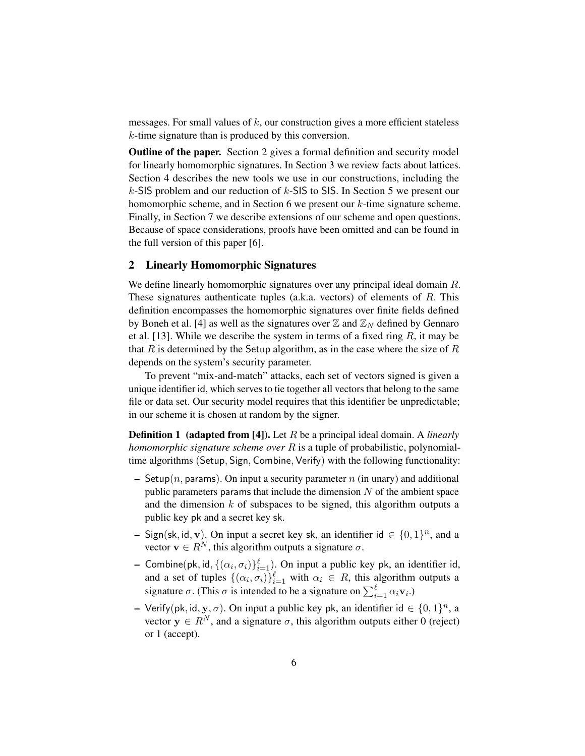messages. For small values of  $k$ , our construction gives a more efficient stateless k-time signature than is produced by this conversion.

Outline of the paper. Section 2 gives a formal definition and security model for linearly homomorphic signatures. In Section 3 we review facts about lattices. Section 4 describes the new tools we use in our constructions, including the k-SIS problem and our reduction of k-SIS to SIS. In Section 5 we present our homomorphic scheme, and in Section 6 we present our k-time signature scheme. Finally, in Section 7 we describe extensions of our scheme and open questions. Because of space considerations, proofs have been omitted and can be found in the full version of this paper [6].

# 2 Linearly Homomorphic Signatures

We define linearly homomorphic signatures over any principal ideal domain R. These signatures authenticate tuples (a.k.a. vectors) of elements of  $R$ . This definition encompasses the homomorphic signatures over finite fields defined by Boneh et al. [4] as well as the signatures over  $\mathbb{Z}$  and  $\mathbb{Z}_N$  defined by Gennaro et al. [13]. While we describe the system in terms of a fixed ring  $R$ , it may be that R is determined by the Setup algorithm, as in the case where the size of R depends on the system's security parameter.

To prevent "mix-and-match" attacks, each set of vectors signed is given a unique identifier id, which serves to tie together all vectors that belong to the same file or data set. Our security model requires that this identifier be unpredictable; in our scheme it is chosen at random by the signer.

Definition 1 (adapted from [4]). Let R be a principal ideal domain. A *linearly homomorphic signature scheme over* R is a tuple of probabilistic, polynomialtime algorithms (Setup, Sign, Combine, Verify) with the following functionality:

- Setup(n, params). On input a security parameter n (in unary) and additional public parameters params that include the dimension  $N$  of the ambient space and the dimension  $k$  of subspaces to be signed, this algorithm outputs a public key pk and a secret key sk.
- Sign(sk, id, v). On input a secret key sk, an identifier id  $\in \{0, 1\}^n$ , and a vector  $\mathbf{v} \in R^N$ , this algorithm outputs a signature  $\sigma$ .
- Combine(pk, id,  $\{(\alpha_i, \sigma_i)\}_{i=1}^{\ell}$ ). On input a public key pk, an identifier id, and a set of tuples  $\{(\alpha_i, \sigma_i)\}_{i=1}^{\ell}$  with  $\alpha_i \in R$ , this algorithm outputs a signature  $\sigma$ . (This  $\sigma$  is intended to be a signature on  $\sum_{i=1}^{\ell} \alpha_i \mathbf{v}_i$ .)
- Verify(pk, id, y,  $\sigma$ ). On input a public key pk, an identifier id  $\in \{0, 1\}^n$ , a vector  $y \in R^N$ , and a signature  $\sigma$ , this algorithm outputs either 0 (reject) or 1 (accept).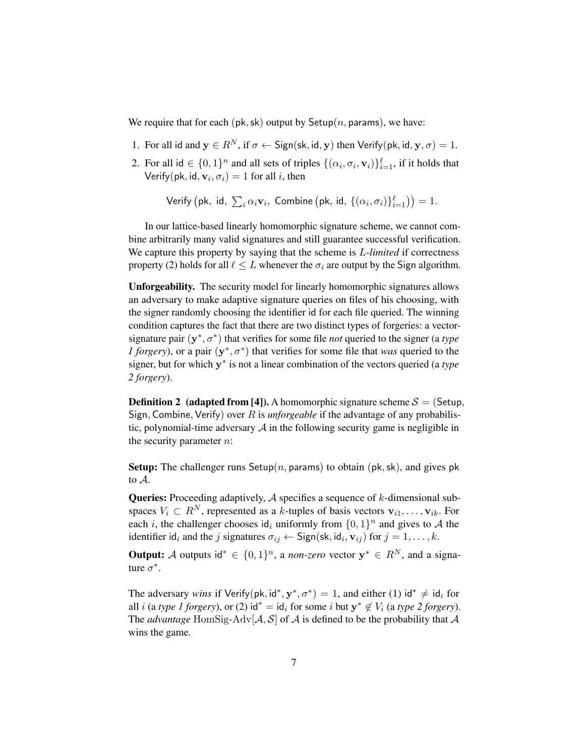We require that for each (pk, sk) output by Setup(n, params), we have:

- 1. For all id and  $y \in R^N$ , if  $\sigma \leftarrow$  Sign(sk, id, y) then Verify(pk, id, y,  $\sigma$ ) = 1.
- 2. For all id  $\in \{0,1\}^n$  and all sets of triples  $\{(\alpha_i, \sigma_i, \mathbf{v}_i)\}_{i=1}^{\ell}$ , if it holds that Verify(pk, id,  $\mathbf{v}_i, \sigma_i) = 1$  for all *i*, then

Verify  $\big(\mathsf{pk},\ \mathsf{id},\ \sum_i \alpha_i \mathbf{v}_i,\ \mathsf{Combine}\left(\mathsf{pk},\ \mathsf{id},\ \{(\alpha_i,\sigma_i)\}_{i=1}^{\ell}\right) \big)=1.$ 

In our lattice-based linearly homomorphic signature scheme, we cannot combine arbitrarily many valid signatures and still guarantee successful verification. We capture this property by saying that the scheme is L*-limited* if correctness property (2) holds for all  $\ell \leq L$  whenever the  $\sigma_i$  are output by the Sign algorithm.

Unforgeability. The security model for linearly homomorphic signatures allows an adversary to make adaptive signature queries on files of his choosing, with the signer randomly choosing the identifier id for each file queried. The winning condition captures the fact that there are two distinct types of forgeries: a vectorsignature pair  $(y^*, \sigma^*)$  that verifies for some file *not* queried to the signer (a *type l* forgery), or a pair  $(y^*, \sigma^*)$  that verifies for some file that *was* queried to the signer, but for which y ∗ is not a linear combination of the vectors queried (a *type 2 forgery*).

**Definition 2** (adapted from [4]). A homomorphic signature scheme  $S = (Setup,$ Sign, Combine, Verify) over R is *unforgeable* if the advantage of any probabilistic, polynomial-time adversary  $A$  in the following security game is negligible in the security parameter  $n$ :

**Setup:** The challenger runs Setup(n, params) to obtain (pk, sk), and gives pk to A.

**Queries:** Proceeding adaptively,  $A$  specifies a sequence of  $k$ -dimensional subspaces  $V_i \subset R^N$ , represented as a k-tuples of basis vectors  $\mathbf{v}_{i1}, \dots, \mathbf{v}_{ik}$ . For each *i*, the challenger chooses id<sub>i</sub> uniformly from  $\{0, 1\}^n$  and gives to A the identifier id<sub>i</sub> and the j signatures  $\sigma_{ij} \leftarrow$  Sign(sk, id<sub>i</sub>,  $\mathbf{v}_{ij}$ ) for  $j = 1, ..., k$ .

**Output:** A outputs id<sup>\*</sup>  $\in \{0,1\}^n$ , a *non-zero* vector  $y^* \in R^N$ , and a signature  $\sigma^*$ .

The adversary *wins* if Verify(pk, id<sup>\*</sup>,  $y^*$ ,  $\sigma^*$ ) = 1, and either (1) id<sup>\*</sup>  $\neq$  id<sub>*i*</sub> for all *i* (a *type 1 forgery*), or (2)  $id^* = id_i$  for some *i* but  $y^* \notin V_i$  (a *type 2 forgery*). The *advantage* HomSig-Adv $[A, S]$  of A is defined to be the probability that A wins the game.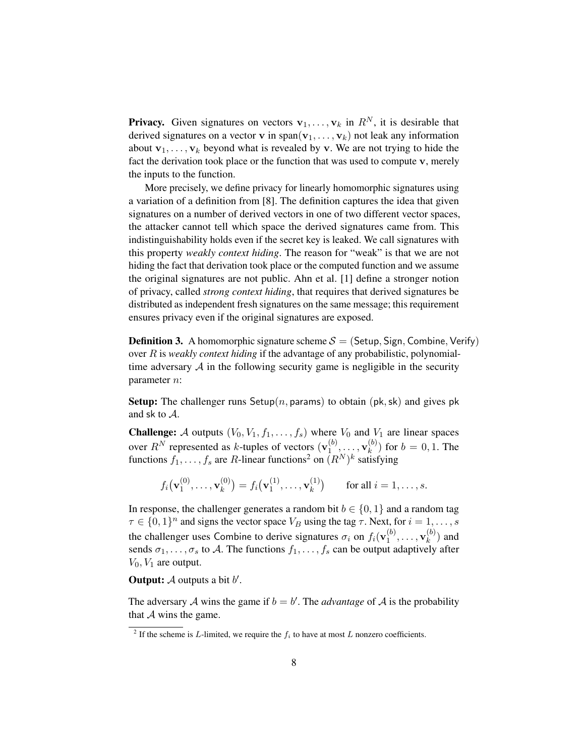**Privacy.** Given signatures on vectors  $v_1, \ldots, v_k$  in  $R^N$ , it is desirable that derived signatures on a vector v in span( $v_1, \ldots, v_k$ ) not leak any information about  $\mathbf{v}_1, \ldots, \mathbf{v}_k$  beyond what is revealed by v. We are not trying to hide the fact the derivation took place or the function that was used to compute v, merely the inputs to the function.

More precisely, we define privacy for linearly homomorphic signatures using a variation of a definition from [8]. The definition captures the idea that given signatures on a number of derived vectors in one of two different vector spaces, the attacker cannot tell which space the derived signatures came from. This indistinguishability holds even if the secret key is leaked. We call signatures with this property *weakly context hiding*. The reason for "weak" is that we are not hiding the fact that derivation took place or the computed function and we assume the original signatures are not public. Ahn et al. [1] define a stronger notion of privacy, called *strong context hiding*, that requires that derived signatures be distributed as independent fresh signatures on the same message; this requirement ensures privacy even if the original signatures are exposed.

**Definition 3.** A homomorphic signature scheme  $S = ($ Setup, Sign, Combine, Verify) over R is *weakly context hiding* if the advantage of any probabilistic, polynomialtime adversary  $A$  in the following security game is negligible in the security parameter n:

**Setup:** The challenger runs Setup(n, params) to obtain (pk, sk) and gives pk and sk to A.

**Challenge:** A outputs  $(V_0, V_1, f_1, \ldots, f_s)$  where  $V_0$  and  $V_1$  are linear spaces over  $R^N$  represented as k-tuples of vectors  $(\mathbf{v}_1^{(b)})$  $\mathbf{v}_1^{(b)},\ldots,\mathbf{v}_k^{(b)}$  $k^{(0)}$  for  $b = 0, 1$ . The functions  $f_1, \ldots, f_s$  are R-linear functions<sup>2</sup> on  $(R^N)^k$  satisfying

$$
f_i(\mathbf{v}_1^{(0)},...,\mathbf{v}_k^{(0)}) = f_i(\mathbf{v}_1^{(1)},...,\mathbf{v}_k^{(1)})
$$
 for all  $i = 1,...,s$ .

In response, the challenger generates a random bit  $b \in \{0, 1\}$  and a random tag  $\tau \in \{0,1\}^n$  and signs the vector space  $V_B$  using the tag  $\tau$ . Next, for  $i = 1, \ldots, s$ the challenger uses Combine to derive signatures  $\sigma_i$  on  $f_i(\mathbf{v}_1^{(b)})$  $\mathbf{v}_1^{(b)},\ldots,\mathbf{v}_k^{(b)}$  $\binom{0}{k}$  and sends  $\sigma_1, \ldots, \sigma_s$  to A. The functions  $f_1, \ldots, f_s$  can be output adaptively after  $V_0$ ,  $V_1$  are output.

**Output:**  $\mathcal A$  outputs a bit  $b'$ .

The adversary A wins the game if  $b = b'$ . The *advantage* of A is the probability that  $A$  wins the game.

<sup>&</sup>lt;sup>2</sup> If the scheme is L-limited, we require the  $f_i$  to have at most L nonzero coefficients.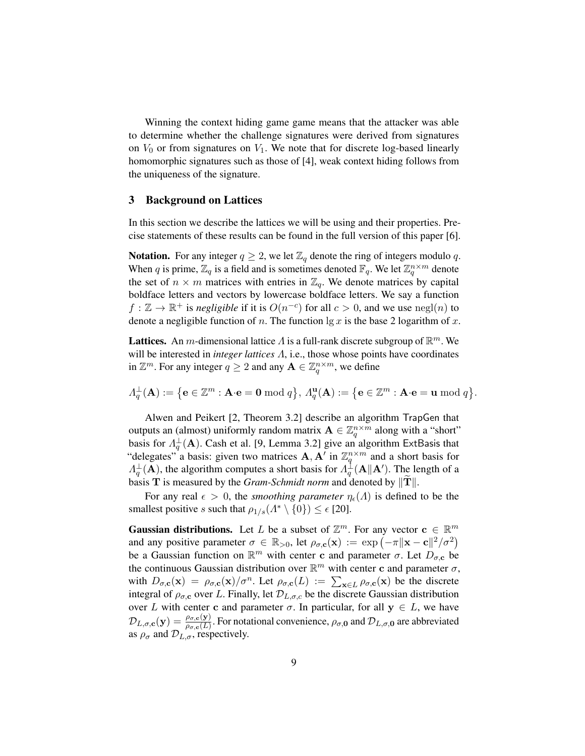Winning the context hiding game game means that the attacker was able to determine whether the challenge signatures were derived from signatures on  $V_0$  or from signatures on  $V_1$ . We note that for discrete log-based linearly homomorphic signatures such as those of [4], weak context hiding follows from the uniqueness of the signature.

#### 3 Background on Lattices

In this section we describe the lattices we will be using and their properties. Precise statements of these results can be found in the full version of this paper [6].

**Notation.** For any integer  $q \geq 2$ , we let  $\mathbb{Z}_q$  denote the ring of integers modulo q. When q is prime,  $\mathbb{Z}_q$  is a field and is sometimes denoted  $\mathbb{F}_q$ . We let  $\mathbb{Z}_q^{n \times m}$  denote the set of  $n \times m$  matrices with entries in  $\mathbb{Z}_q$ . We denote matrices by capital boldface letters and vectors by lowercase boldface letters. We say a function  $f : \mathbb{Z} \to \mathbb{R}^+$  is *negligible* if it is  $O(n^{-c})$  for all  $c > 0$ , and we use  $negl(n)$  to denote a negligible function of n. The function  $\lg x$  is the base 2 logarithm of x.

**Lattices.** An m-dimensional lattice  $\Lambda$  is a full-rank discrete subgroup of  $\mathbb{R}^m$ . We will be interested in *integer lattices* Λ, i.e., those whose points have coordinates in  $\mathbb{Z}^m$ . For any integer  $q \geq 2$  and any  $\mathbf{A} \in \mathbb{Z}_q^{n \times m}$ , we define

 $\Lambda^{\perp}_q(\mathbf{A}) := \big\{\mathbf{e}\in\mathbb{Z}^m : \mathbf{A}\!\cdot\!\mathbf{e} = \mathbf{0} \bmod q\big\},\, \Lambda^{\mathbf{u}}_q(\mathbf{A}) := \big\{\mathbf{e}\in\mathbb{Z}^m : \mathbf{A}\!\cdot\!\mathbf{e} = \mathbf{u} \bmod q\big\}.$ 

Alwen and Peikert [2, Theorem 3.2] describe an algorithm TrapGen that outputs an (almost) uniformly random matrix  $\mathbf{A} \in \mathbb{Z}_q^{n \times m}$  along with a "short" basis for  $\Lambda_q^{\perp}(\mathbf{A})$ . Cash et al. [9, Lemma 3.2] give an algorithm ExtBasis that "delegates" a basis: given two matrices  $\mathbf{A}, \mathbf{A}'$  in  $\mathbb{Z}_q^{n \times m}$  and a short basis for  $\Lambda_q^{\perp}({\bf A})$ , the algorithm computes a short basis for  $\Lambda_q^{\perp}({\bf A}\|{\bf A}')$ . The length of a basis **T** is measured by the *Gram-Schmidt norm* and denoted by  $||T||$ .

For any real  $\epsilon > 0$ , the *smoothing parameter*  $\eta_{\epsilon}(\Lambda)$  is defined to be the smallest positive s such that  $\rho_{1/s}(A^* \setminus \{0\}) \leq \epsilon$  [20].

**Gaussian distributions.** Let L be a subset of  $\mathbb{Z}^m$ . For any vector  $\mathbf{c} \in \mathbb{R}^m$ and any positive parameter  $\sigma \in \mathbb{R}_{>0}$ , let  $\rho_{\sigma,c}(\mathbf{x}) := \exp(-\pi \|\mathbf{x}-\mathbf{c}\|^2/\sigma^2)$ be a Gaussian function on  $\mathbb{R}^m$  with center c and parameter  $\sigma$ . Let  $D_{\sigma, c}$  be the continuous Gaussian distribution over  $\mathbb{R}^m$  with center c and parameter  $\sigma$ , with  $D_{\sigma,\mathbf{c}}(\mathbf{x}) = \rho_{\sigma,\mathbf{c}}(\mathbf{x})/\sigma^n$ . Let  $\rho_{\sigma,\mathbf{c}}(L) := \sum_{\mathbf{x} \in L} \rho_{\sigma,\mathbf{c}}(\mathbf{x})$  be the discrete integral of  $\rho_{\sigma,c}$  over L. Finally, let  $\mathcal{D}_{L,\sigma,c}$  be the discrete Gaussian distribution over L with center c and parameter  $\sigma$ . In particular, for all  $y \in L$ , we have  $\mathcal{D}_{L,\sigma,\mathbf{c}}(\mathbf{y}) = \frac{\rho_{\sigma,\mathbf{c}}(\mathbf{y})}{\rho_{\sigma,\mathbf{c}}(L)}$ . For notational convenience,  $\rho_{\sigma,\mathbf{0}}$  and  $\mathcal{D}_{L,\sigma,\mathbf{0}}$  are abbreviated as  $\rho_{\sigma}$  and  $\mathcal{D}_{L,\sigma}$ , respectively.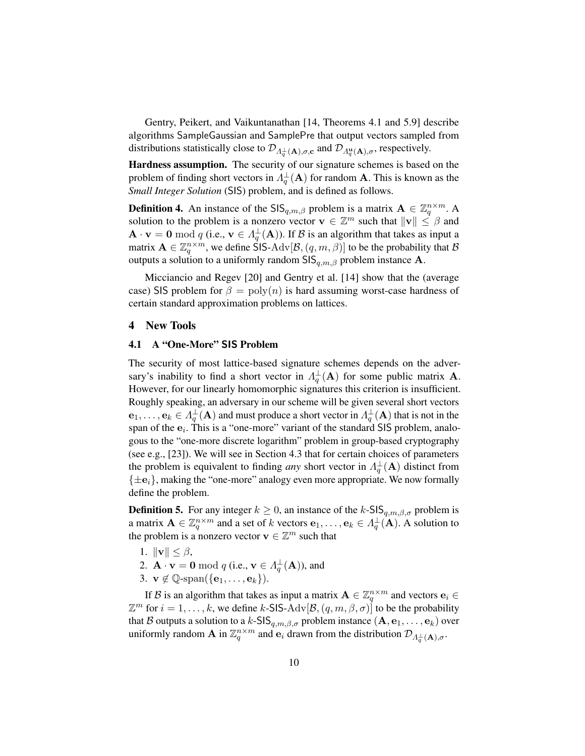Gentry, Peikert, and Vaikuntanathan [14, Theorems 4.1 and 5.9] describe algorithms SampleGaussian and SamplePre that output vectors sampled from distributions statistically close to  $\mathcal{D}_{\Lambda_q^{\perp}}(A), \sigma, c$  and  $\mathcal{D}_{\Lambda_q^{\rm u}}(A), \sigma$ , respectively.

Hardness assumption. The security of our signature schemes is based on the problem of finding short vectors in  $\Lambda_q^{\perp}(\mathbf{A})$  for random  $\mathbf{A}$ . This is known as the *Small Integer Solution* (SIS) problem, and is defined as follows.

**Definition 4.** An instance of the  $\text{SIS}_{q,m,\beta}$  problem is a matrix  $\mathbf{A} \in \mathbb{Z}_q^{n \times m}$ . A solution to the problem is a nonzero vector  $\mathbf{v} \in \mathbb{Z}^m$  such that  $\|\mathbf{v}\| \leq \beta$  and  $\mathbf{A} \cdot \mathbf{v} = \mathbf{0} \bmod q$  (i.e.,  $\mathbf{v} \in \Lambda_q^{\perp}(\mathbf{A})$ ). If  $\mathcal B$  is an algorithm that takes as input a matrix  $\mathbf{A} \in \mathbb{Z}_q^{n \times m}$ , we define SIS-Adv $[\mathcal{B}, (q, m, \beta)]$  to be the probability that  $\mathcal B$ outputs a solution to a uniformly random  $\text{SIS}_{q,m,\beta}$  problem instance A.

Micciancio and Regev [20] and Gentry et al. [14] show that the (average case) SIS problem for  $\beta = \text{poly}(n)$  is hard assuming worst-case hardness of certain standard approximation problems on lattices.

# 4 New Tools

#### 4.1 A "One-More" SIS Problem

The security of most lattice-based signature schemes depends on the adversary's inability to find a short vector in  $\Lambda_q^{\perp}(\mathbf{A})$  for some public matrix **A**. However, for our linearly homomorphic signatures this criterion is insufficient. Roughly speaking, an adversary in our scheme will be given several short vectors  $e_1,\ldots,e_k\in \Lambda_q^{\perp}({\bf A})$  and must produce a short vector in  $\Lambda_q^{\perp}({\bf A})$  that is not in the span of the  $e_i$ . This is a "one-more" variant of the standard SIS problem, analogous to the "one-more discrete logarithm" problem in group-based cryptography (see e.g., [23]). We will see in Section 4.3 that for certain choices of parameters the problem is equivalent to finding *any* short vector in  $\Lambda_q^{\perp}(\mathbf{A})$  distinct from  $\{\pm \mathbf{e}_i\}$ , making the "one-more" analogy even more appropriate. We now formally define the problem.

**Definition 5.** For any integer  $k \geq 0$ , an instance of the k-SIS<sub>q,m, $\beta$ , $\sigma$  problem is</sub> a matrix  $\mathbf{A} \in \mathbb{Z}_q^{n \times m}$  and a set of k vectors  $\mathbf{e}_1, \dots, \mathbf{e}_k \in \Lambda_q^{\perp}(\mathbf{A})$ . A solution to the problem is a nonzero vector  $\mathbf{v} \in \mathbb{Z}^m$  such that

- 1.  $\|\mathbf{v}\| \leq \beta$ ,
- 2.  $\mathbf{A} \cdot \mathbf{v} = \mathbf{0} \bmod q$  (i.e.,  $\mathbf{v} \in \Lambda_q^{\perp}(\mathbf{A})$ ), and
- 3.  $\mathbf{v} \notin \mathbb{Q}$ -span $(\{\mathbf{e}_1, \ldots, \mathbf{e}_k\}).$

If B is an algorithm that takes as input a matrix  $\mathbf{A} \in \mathbb{Z}_q^{n \times m}$  and vectors  $\mathbf{e}_i \in$  $\mathbb{Z}^m$  for  $i = 1, \ldots, k$ , we define k-SIS-Adv $[\mathcal{B}, (q, m, \beta, \sigma)]$  to be the probability that B outputs a solution to a k-SIS $_{q,m,\beta,\sigma}$  problem instance  $(A, e_1, \ldots, e_k)$  over uniformly random **A** in  $\mathbb{Z}_q^{n \times m}$  and  $\mathbf{e}_i$  drawn from the distribution  $\mathcal{D}_{A_q^{\perp}}(A), \sigma$ .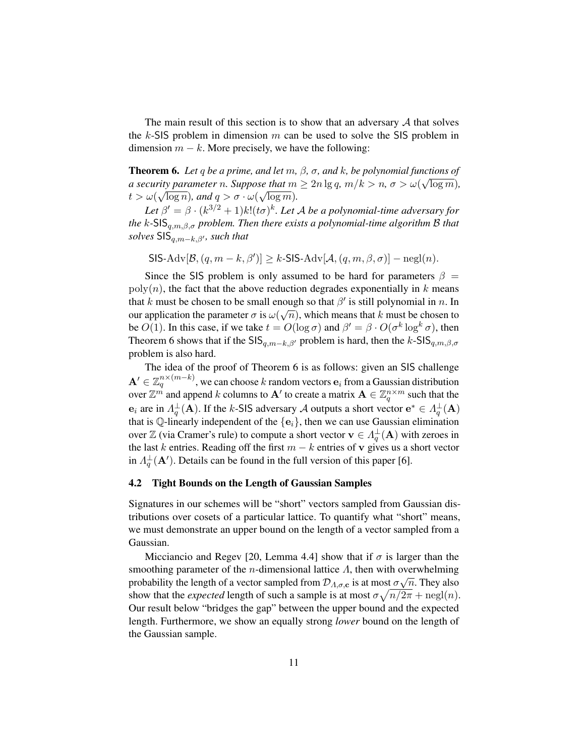The main result of this section is to show that an adversary  $A$  that solves the  $k$ -SIS problem in dimension  $m$  can be used to solve the SIS problem in dimension  $m - k$ . More precisely, we have the following:

**Theorem 6.** Let q be a prime, and let  $m$ ,  $\beta$ ,  $\sigma$ , and  $k$ , be polynomial functions of *a security parameter n. Suppose that*  $m \geq 2n \lg q$ ,  $m/k > n$ ,  $\sigma > \omega(\sqrt{\log m})$ ,  $t > \omega(\sqrt{\log n})$ *, and*  $q > \sigma \cdot \omega(\sqrt{\log m})$ *.* 

Let  $\beta' = \beta \cdot (k^{3/2} + 1)k!(t\sigma)^k$ . Let A be a polynomial-time adversary for *the* k*-*SISq,m,β,σ *problem. Then there exists a polynomial-time algorithm* B *that solves* SIS<sub>*a*,*m*−*k*,*β'*, *such that*</sub>

$$
\mathsf{SIS-}\mathrm{Adv}[\mathcal{B}, (q, m-k, \beta')] \geq k \cdot \mathsf{SIS-}\mathrm{Adv}[\mathcal{A}, (q, m, \beta, \sigma)] - \mathrm{negl}(n).
$$

Since the SIS problem is only assumed to be hard for parameters  $\beta =$  $poly(n)$ , the fact that the above reduction degrades exponentially in k means that k must be chosen to be small enough so that  $\beta'$  is still polynomial in n. In our application the parameter  $\sigma$  is  $\omega(\sqrt{n})$ , which means that k must be chosen to be  $O(1)$ . In this case, if we take  $t = O(\log \sigma)$  and  $\beta' = \beta \cdot O(\sigma^k \log^k \sigma)$ , then Theorem 6 shows that if the SIS $_{q,m-k,\beta'}$  problem is hard, then the k-SIS $_{q,m,\beta,\sigma}$ problem is also hard.

The idea of the proof of Theorem 6 is as follows: given an SIS challenge  $\mathbf{A}' \in \mathbb{Z}_q^{n \times (m-k)},$  we can choose  $k$  random vectors  $\mathbf{e}_i$  from a Gaussian distribution over  $\mathbb{Z}^m$  and append  $k$  columns to  $\mathbf{A}'$  to create a matrix  $\mathbf{A}\in\mathbb{Z}_q^{n\times m}$  such that the  $e_i$  are in  $\Lambda_q^{\perp}(A)$ . If the k-SIS adversary A outputs a short vector  $e^* \in \Lambda_q^{\perp}(A)$ that is Q-linearly independent of the  $\{e_i\}$ , then we can use Gaussian elimination over  $\mathbb Z$  (via Cramer's rule) to compute a short vector  $\mathbf v \in \Lambda_q^{\perp}(\mathbf A)$  with zeroes in the last k entries. Reading off the first  $m - k$  entries of v gives us a short vector in  $\Lambda_q^{\perp}(\mathbf{A}')$ . Details can be found in the full version of this paper [6].

#### 4.2 Tight Bounds on the Length of Gaussian Samples

Signatures in our schemes will be "short" vectors sampled from Gaussian distributions over cosets of a particular lattice. To quantify what "short" means, we must demonstrate an upper bound on the length of a vector sampled from a Gaussian.

Micciancio and Regev [20, Lemma 4.4] show that if  $\sigma$  is larger than the smoothing parameter of the *n*-dimensional lattice  $\Lambda$ , then with overwhelming probability the length of a vector sampled from  $\mathcal{D}_{A,\sigma,\mathbf{c}}$  is at most  $\sigma\sqrt{n}$ . They also show that the *expected* length of such a sample is at most  $\sigma \sqrt{n/2\pi} + \text{negl}(n)$ . Our result below "bridges the gap" between the upper bound and the expected length. Furthermore, we show an equally strong *lower* bound on the length of the Gaussian sample.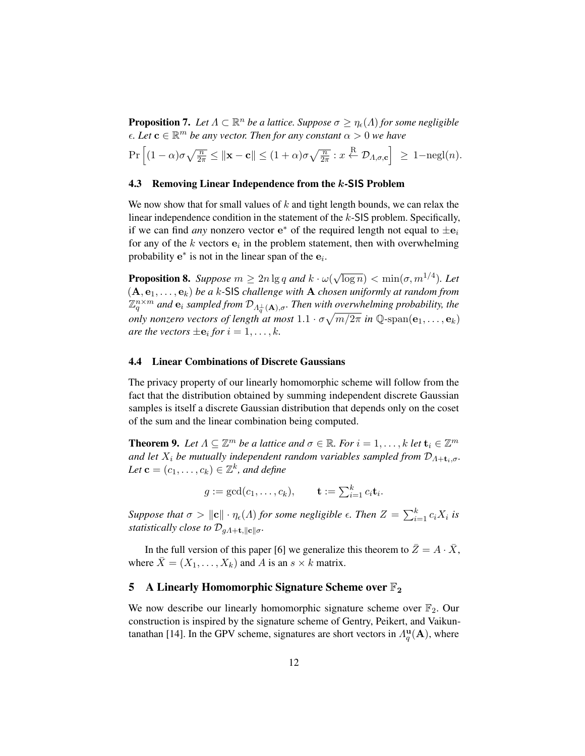**Proposition 7.** Let  $\Lambda \subset \mathbb{R}^n$  be a lattice. Suppose  $\sigma \geq \eta_{\epsilon}(\Lambda)$  for some negligible  $\epsilon$ *. Let*  $\mathbf{c} \in \mathbb{R}^m$  *be any vector. Then for any constant*  $\alpha > 0$  *we have* 

$$
\Pr\left[(1-\alpha)\sigma\sqrt{\frac{n}{2\pi}} \le ||\mathbf{x}-\mathbf{c}|| \le (1+\alpha)\sigma\sqrt{\frac{n}{2\pi}} : x \stackrel{\text{R}}{\leftarrow} \mathcal{D}_{\Lambda,\sigma,\mathbf{c}}\right] \ge 1-\text{negl}(n).
$$

# 4.3 Removing Linear Independence from the k-SIS Problem

We now show that for small values of  $k$  and tight length bounds, we can relax the linear independence condition in the statement of the k-SIS problem. Specifically, if we can find *any* nonzero vector  $e^*$  of the required length not equal to  $\pm e_i$ for any of the k vectors  $e_i$  in the problem statement, then with overwhelming probability  $e^*$  is not in the linear span of the  $e_i$ .

**Proposition 8.** *Suppose*  $m \geq 2n \lg q$  *and*  $k \cdot \omega(r)$  $\sqrt{\log n}$ ) < min( $\sigma$ ,  $m^{1/4}$ ). Let  $(A, e_1, \ldots, e_k)$  *be a k*-SIS *challenge with* A *chosen uniformly at random from*  $\mathbb{Z}_q^{n \times m}$  and  $\mathbf{e}_i$  sampled from  $\mathcal{D}_{A_q^{\perp}(\mathbf{A}), \sigma}$ . Then with overwhelming probability, the *only nonzero vectors of length at most*  $1.1 \cdot \sigma \sqrt{m/2\pi}$  *in*  $\mathbb{Q}$ -span $(\mathbf{e}_1, \dots, \mathbf{e}_k)$ *are the vectors*  $\pm$ **e**<sub>*i*</sub> for  $i = 1, \ldots, k$ *.* 

# 4.4 Linear Combinations of Discrete Gaussians

The privacy property of our linearly homomorphic scheme will follow from the fact that the distribution obtained by summing independent discrete Gaussian samples is itself a discrete Gaussian distribution that depends only on the coset of the sum and the linear combination being computed.

**Theorem 9.** Let  $\Lambda \subseteq \mathbb{Z}^m$  be a lattice and  $\sigma \in \mathbb{R}$ . For  $i = 1, ..., k$  let  $\mathbf{t}_i \in \mathbb{Z}^m$ *and let*  $X_i$  *be mutually independent random variables sampled from*  $\mathcal{D}_{\Lambda+\mathbf{t}_i,\sigma}$ *.* Let  $\mathbf{c} = (c_1, \ldots, c_k) \in \mathbb{Z}^k$ , and define

 $g := \gcd(c_1, \ldots, c_k), \quad \mathbf{t} := \sum_{i=1}^k c_i \mathbf{t}_i.$ 

*Suppose that*  $\sigma > ||c|| \cdot \eta_{\epsilon}(A)$  *for some negligible*  $\epsilon$ *. Then*  $Z = \sum_{i=1}^{k} c_i X_i$  *is statistically close to*  $\mathcal{D}_{gA+\mathbf{t},\parallel\mathbf{c}\parallel\sigma}$ .

In the full version of this paper [6] we generalize this theorem to  $\bar{Z} = A \cdot \bar{X}$ , where  $\bar{X} = (X_1, \ldots, X_k)$  and A is an  $s \times k$  matrix.

# 5 A Linearly Homomorphic Signature Scheme over  $\mathbb{F}_2$

We now describe our linearly homomorphic signature scheme over  $\mathbb{F}_2$ . Our construction is inspired by the signature scheme of Gentry, Peikert, and Vaikuntanathan [14]. In the GPV scheme, signatures are short vectors in  $\Lambda_q^{\mathbf{u}}($ **A**), where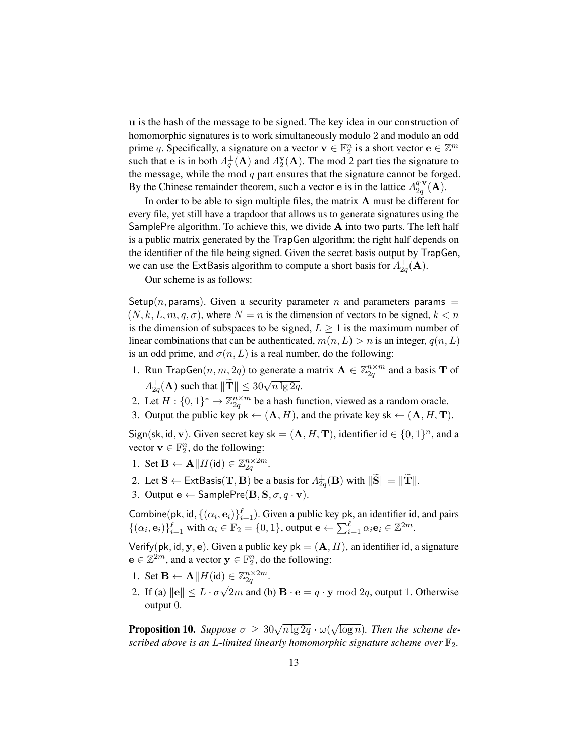u is the hash of the message to be signed. The key idea in our construction of homomorphic signatures is to work simultaneously modulo 2 and modulo an odd prime q. Specifically, a signature on a vector  $\mathbf{v} \in \mathbb{F}_2^n$  is a short vector  $\mathbf{e} \in \mathbb{Z}^m$ such that e is in both  $\Lambda_q^{\perp}($ **A**) and  $\Lambda_2^{\mathbf{v}}($ **A**). The mod 2 part ties the signature to the message, while the mod  $q$  part ensures that the signature cannot be forged. By the Chinese remainder theorem, such a vector e is in the lattice  $\Lambda_{2a}^{q \cdot \mathbf{v}}$  ${}^{q\cdot \mathbf{v}}_{2q}(\mathbf{A}).$ 

In order to be able to sign multiple files, the matrix A must be different for every file, yet still have a trapdoor that allows us to generate signatures using the SamplePre algorithm. To achieve this, we divide  $A$  into two parts. The left half is a public matrix generated by the TrapGen algorithm; the right half depends on the identifier of the file being signed. Given the secret basis output by TrapGen, we can use the ExtBasis algorithm to compute a short basis for  $\Lambda_{2q}^{\perp}(\mathbf{A})$ .

Our scheme is as follows:

Setup(n, params). Given a security parameter n and parameters params  $=$  $(N, k, L, m, q, \sigma)$ , where  $N = n$  is the dimension of vectors to be signed,  $k < n$ is the dimension of subspaces to be signed,  $L \geq 1$  is the maximum number of linear combinations that can be authenticated,  $m(n, L) > n$  is an integer,  $q(n, L)$ is an odd prime, and  $\sigma(n, L)$  is a real number, do the following:

- 1. Run TrapGen $(n, m, 2q)$  to generate a matrix  $\mathbf{A} \in \mathbb{Z}_{2q}^{n \times m}$  and a basis **T** of  $A_{2q}^{\perp}(\mathbf{A})$  such that  $\|\widetilde{\mathbf{T}}\| \leq 30\sqrt{n \lg 2q}$ .
- 2. Let  $H: \{0,1\}^* \to \mathbb{Z}_{2q}^{n \times m}$  be a hash function, viewed as a random oracle.
- 3. Output the public key pk  $\leftarrow (\mathbf{A}, H)$ , and the private key sk  $\leftarrow (\mathbf{A}, H, \mathbf{T})$ .

Sign(sk, id, v). Given secret key sk =  $(A, H, T)$ , identifier id  $\in \{0, 1\}^n$ , and a vector  $\mathbf{v} \in \mathbb{F}_2^n$ , do the following:

- 1. Set  $\mathbf{B} \leftarrow \mathbf{A} || H(\text{id}) \in \mathbb{Z}_{2q}^{n \times 2m}$ .
- 2. Let  $\mathbf{S} \leftarrow \mathsf{ExtBasis}(\mathbf{T}, \mathbf{B})$  be a basis for  $A_{2q}^{\perp}(\mathbf{B})$  with  $\|\widetilde{\mathbf{S}}\| = \|\widetilde{\mathbf{T}}\|$ .
- 3. Output  $e \leftarrow$  SamplePre( $B, S, \sigma, q \cdot v$ ).

Combine(pk, id,  $\{(\alpha_i, \mathbf{e}_i)\}_{i=1}^{\ell}$ ). Given a public key pk, an identifier id, and pairs  $\{(\alpha_i, \mathbf{e}_i)\}_{i=1}^{\ell}$  with  $\alpha_i \in \mathbb{F}_2 = \{0, 1\}$ , output  $\mathbf{e} \leftarrow \sum_{i=1}^{\ell} \alpha_i \mathbf{e}_i \in \mathbb{Z}^{2m}$ .

Verify(pk, id, y, e). Given a public key pk =  $(A, H)$ , an identifier id, a signature  $\mathbf{e} \in \mathbb{Z}^{2m}$ , and a vector  $\mathbf{y} \in \mathbb{F}_2^n$ , do the following:

- 1. Set  $\mathbf{B} \leftarrow \mathbf{A} || H(\mathsf{id}) \in \mathbb{Z}_{2q}^{n \times 2m}$ .
- 2. If (a)  $\|\mathbf{e}\| \le L \cdot \sigma \sqrt{2m}$  and (b)  $\mathbf{B} \cdot \mathbf{e} = q \cdot \mathbf{y} \bmod 2q$ , output 1. Otherwise output 0.

**Proposition 10.** *Suppose*  $\sigma \geq 30\sqrt{n \lg 2q} \cdot \omega($ √ log n)*. Then the scheme described above is an L-limited linearly homomorphic signature scheme over*  $\mathbb{F}_2$ .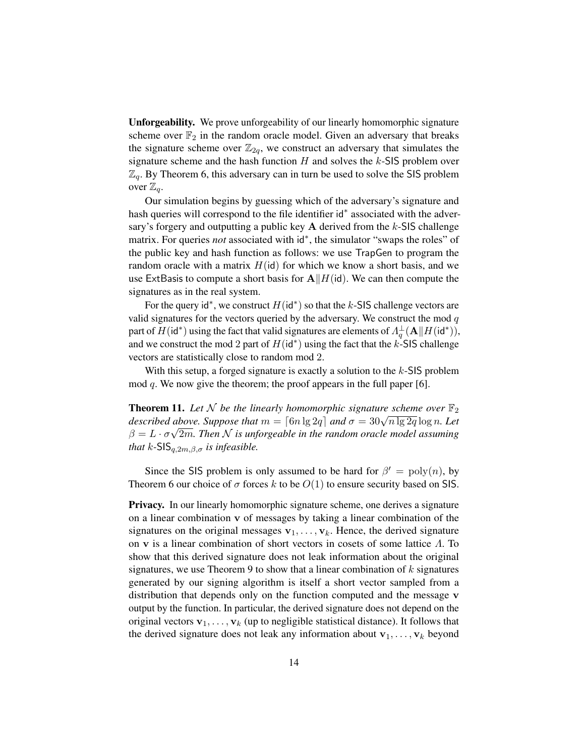Unforgeability. We prove unforgeability of our linearly homomorphic signature scheme over  $\mathbb{F}_2$  in the random oracle model. Given an adversary that breaks the signature scheme over  $\mathbb{Z}_{2q}$ , we construct an adversary that simulates the signature scheme and the hash function  $H$  and solves the  $k$ -SIS problem over  $\mathbb{Z}_q$ . By Theorem 6, this adversary can in turn be used to solve the SIS problem over  $\mathbb{Z}_q$ .

Our simulation begins by guessing which of the adversary's signature and hash queries will correspond to the file identifier id<sup>\*</sup> associated with the adversary's forgery and outputting a public key  $A$  derived from the k-SIS challenge matrix. For queries *not* associated with id<sup>∗</sup>, the simulator "swaps the roles" of the public key and hash function as follows: we use TrapGen to program the random oracle with a matrix  $H(id)$  for which we know a short basis, and we use ExtBasis to compute a short basis for  $A||H(id)$ . We can then compute the signatures as in the real system.

For the query id<sup>\*</sup>, we construct  $H(\text{id}^*)$  so that the k-SIS challenge vectors are valid signatures for the vectors queried by the adversary. We construct the mod  $q$ part of  $H(\mathsf{id}^*)$  using the fact that valid signatures are elements of  $\Lambda^{\perp}_q(\mathbf{A} || H(\mathsf{id}^*))$ , and we construct the mod 2 part of  $H(\text{id}^*)$  using the fact that the k-SIS challenge vectors are statistically close to random mod 2.

With this setup, a forged signature is exactly a solution to the  $k$ -SIS problem mod q. We now give the theorem; the proof appears in the full paper [6].

**Theorem 11.** Let N be the linearly homomorphic signature scheme over  $\mathbb{F}_2$ **described above.** Suppose that  $m = \lceil 6n \lg 2q \rceil$  and  $\sigma = 30\sqrt{n \lg 2q} \log n$ . Let  $\beta = L \cdot \sigma \sqrt{2m}$ . Then  $\mathcal N$  is unforgeable in the random oracle model assuming *that*  $k$ -SIS<sub> $a,2m, \beta, \sigma$  *is infeasible.*</sub>

Since the SIS problem is only assumed to be hard for  $\beta' = \text{poly}(n)$ , by Theorem 6 our choice of  $\sigma$  forces k to be  $O(1)$  to ensure security based on SIS.

**Privacy.** In our linearly homomorphic signature scheme, one derives a signature on a linear combination v of messages by taking a linear combination of the signatures on the original messages  $v_1, \ldots, v_k$ . Hence, the derived signature on v is a linear combination of short vectors in cosets of some lattice  $\Lambda$ . To show that this derived signature does not leak information about the original signatures, we use Theorem 9 to show that a linear combination of  $k$  signatures generated by our signing algorithm is itself a short vector sampled from a distribution that depends only on the function computed and the message v output by the function. In particular, the derived signature does not depend on the original vectors  $v_1, \ldots, v_k$  (up to negligible statistical distance). It follows that the derived signature does not leak any information about  $v_1, \ldots, v_k$  beyond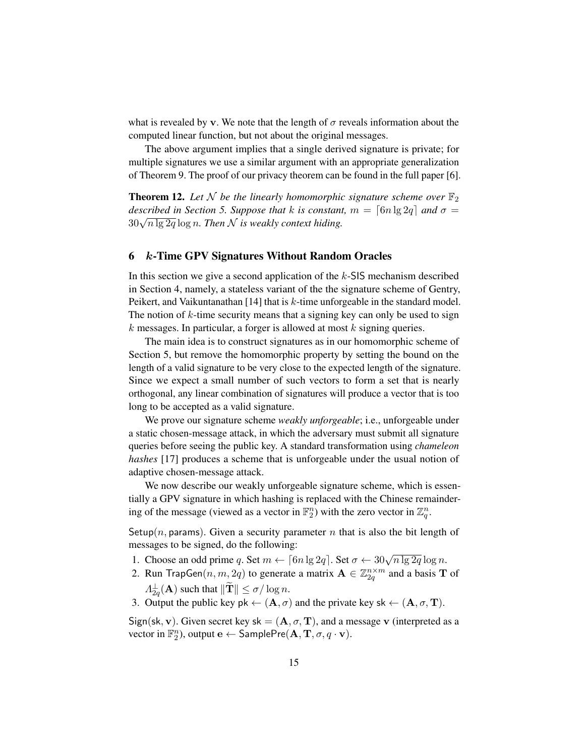what is revealed by v. We note that the length of  $\sigma$  reveals information about the computed linear function, but not about the original messages.

The above argument implies that a single derived signature is private; for multiple signatures we use a similar argument with an appropriate generalization of Theorem 9. The proof of our privacy theorem can be found in the full paper [6].

**Theorem 12.** Let N be the linearly homomorphic signature scheme over  $\mathbb{F}_2$ *described in Section 5. Suppose that* k *is constant*,  $m = \lceil 6n \lg 2q \rceil$  and  $\sigma =$ <sup>30</sup><sup>√</sup> n lg 2q log n*. Then* N *is weakly context hiding.*

# 6 k-Time GPV Signatures Without Random Oracles

In this section we give a second application of the  $k$ -SIS mechanism described in Section 4, namely, a stateless variant of the the signature scheme of Gentry, Peikert, and Vaikuntanathan [14] that is k-time unforgeable in the standard model. The notion of  $k$ -time security means that a signing key can only be used to sign  $k$  messages. In particular, a forger is allowed at most  $k$  signing queries.

The main idea is to construct signatures as in our homomorphic scheme of Section 5, but remove the homomorphic property by setting the bound on the length of a valid signature to be very close to the expected length of the signature. Since we expect a small number of such vectors to form a set that is nearly orthogonal, any linear combination of signatures will produce a vector that is too long to be accepted as a valid signature.

We prove our signature scheme *weakly unforgeable*; i.e., unforgeable under a static chosen-message attack, in which the adversary must submit all signature queries before seeing the public key. A standard transformation using *chameleon hashes* [17] produces a scheme that is unforgeable under the usual notion of adaptive chosen-message attack.

We now describe our weakly unforgeable signature scheme, which is essentially a GPV signature in which hashing is replaced with the Chinese remaindering of the message (viewed as a vector in  $\mathbb{F}_2^n$ ) with the zero vector in  $\mathbb{Z}_q^n$ .

Setup(n, params). Given a security parameter n that is also the bit length of messages to be signed, do the following:

- 1. Choose an odd prime q. Set  $m \leftarrow \lceil 6n \lg 2q \rceil$ . Set  $\sigma \leftarrow 30\sqrt{n \lg 2q} \log n$ .
- 2. Run TrapGen $(n, m, 2q)$  to generate a matrix  $\mathbf{A} \in \mathbb{Z}_{2q}^{n \times m}$  and a basis **T** of  $\Lambda_{2q}^{\perp}(\mathbf{A})$  such that  $\|\widetilde{\mathbf{T}}\| \leq \sigma/\log n$ .
- 3. Output the public key pk  $\leftarrow (\mathbf{A}, \sigma)$  and the private key sk  $\leftarrow (\mathbf{A}, \sigma, \mathbf{T})$ .

Sign(sk, v). Given secret key sk =  $(A, \sigma, T)$ , and a message v (interpreted as a vector in  $\mathbb{F}_2^n$ ), output  $\mathbf{e} \leftarrow$  SamplePre $(\mathbf{A}, \mathbf{T}, \sigma, q \cdot \mathbf{v})$ .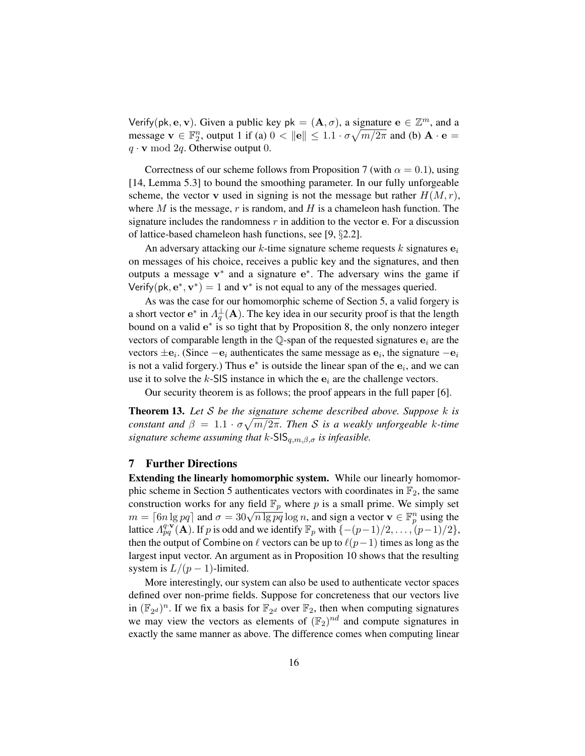Verify(pk, e, v). Given a public key  $pk = (A, \sigma)$ , a signature  $e \in \mathbb{Z}^m$ , and a message  $\mathbf{v} \in \mathbb{F}_2^n$ , output 1 if (a)  $0 < ||\mathbf{e}|| \leq 1.1 \cdot \sigma \sqrt{m/2\pi}$  and (b)  $\mathbf{A} \cdot \mathbf{e} =$  $q \cdot \mathbf{v} \mod 2q$ . Otherwise output 0.

Correctness of our scheme follows from Proposition 7 (with  $\alpha = 0.1$ ), using [14, Lemma 5.3] to bound the smoothing parameter. In our fully unforgeable scheme, the vector v used in signing is not the message but rather  $H(M, r)$ , where  $M$  is the message,  $r$  is random, and  $H$  is a chameleon hash function. The signature includes the randomness  $r$  in addition to the vector e. For a discussion of lattice-based chameleon hash functions, see [9, §2.2].

An adversary attacking our k-time signature scheme requests k signatures  $e_i$ on messages of his choice, receives a public key and the signatures, and then outputs a message  $v^*$  and a signature  $e^*$ . The adversary wins the game if Verify(pk,  $e^*$ ,  $v^*$ ) = 1 and  $v^*$  is not equal to any of the messages queried.

As was the case for our homomorphic scheme of Section 5, a valid forgery is a short vector  $e^*$  in  $\Lambda_q^{\perp}(A)$ . The key idea in our security proof is that the length bound on a valid  $e^*$  is so tight that by Proposition 8, the only nonzero integer vectors of comparable length in the  $\mathbb Q$ -span of the requested signatures  $\mathbf e_i$  are the vectors  $\pm \mathbf{e}_i$ . (Since  $-\mathbf{e}_i$  authenticates the same message as  $\mathbf{e}_i$ , the signature  $-\mathbf{e}_i$ is not a valid forgery.) Thus  $e^*$  is outside the linear span of the  $e_i$ , and we can use it to solve the k-SIS instance in which the  $e_i$  are the challenge vectors.

Our security theorem is as follows; the proof appears in the full paper [6].

Theorem 13. *Let* S *be the signature scheme described above. Suppose* k *is constant and*  $\beta = 1.1 \cdot \sigma \sqrt{m/2\pi}$ . Then S is a weakly unforgeable k-time *signature scheme assuming that*  $k$ -SIS $_{q,m,\beta,\sigma}$  *is infeasible.* 

# 7 Further Directions

Extending the linearly homomorphic system. While our linearly homomorphic scheme in Section 5 authenticates vectors with coordinates in  $\mathbb{F}_2$ , the same construction works for any field  $\mathbb{F}_p$  where p is a small prime. We simply set construction works for any field  $\mathbb{F}_p$  where p is a small prime. We simply set  $m = \lceil 6n \lg pq \rceil$  and  $\sigma = 30\sqrt{n \lg pq} \log n$ , and sign a vector  $\mathbf{v} \in \mathbb{F}_p^n$  using the lattice  $\Lambda_{pq}^{q\cdot \mathbf{v}}(\mathbf{A})$ . If p is odd and we identify  $\mathbb{F}_p$  with  $\{-(p-1)/2,\ldots,(p-1)/2\}$ , then the output of Combine on  $\ell$  vectors can be up to  $\ell(p-1)$  times as long as the largest input vector. An argument as in Proposition 10 shows that the resulting system is  $L/(p-1)$ -limited.

More interestingly, our system can also be used to authenticate vector spaces defined over non-prime fields. Suppose for concreteness that our vectors live in  $(\mathbb{F}_{2^d})^n$ . If we fix a basis for  $\mathbb{F}_{2^d}$  over  $\mathbb{F}_2$ , then when computing signatures we may view the vectors as elements of  $(\mathbb{F}_2)^{nd}$  and compute signatures in exactly the same manner as above. The difference comes when computing linear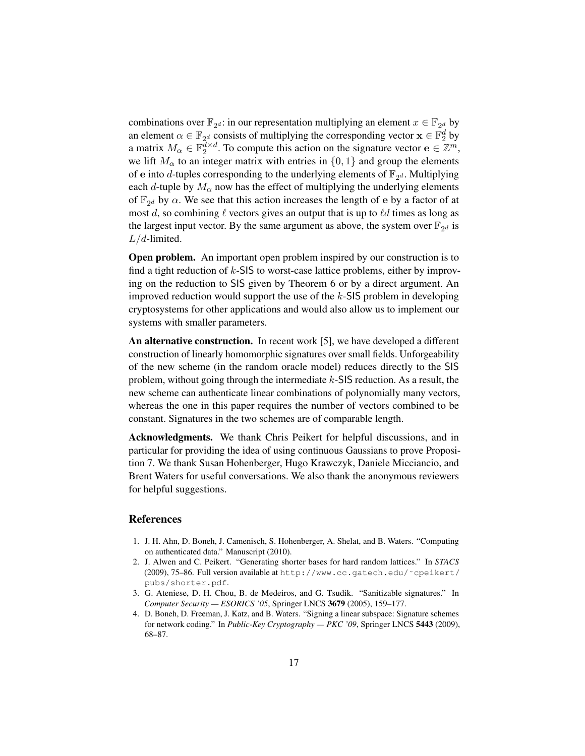combinations over  $\mathbb{F}_{2^d}$ : in our representation multiplying an element  $x \in \mathbb{F}_{2^d}$  by an element  $\alpha \in \mathbb{F}_{2^d}$  consists of multiplying the corresponding vector  $\mathbf{x} \in \mathbb{F}_2^d$  by a matrix  $M_{\alpha} \in \mathbb{F}_2^{\overline{d} \times d}$ . To compute this action on the signature vector  $\mathbf{e} \in \mathbb{Z}^m$ , we lift  $M_{\alpha}$  to an integer matrix with entries in  $\{0, 1\}$  and group the elements of e into d-tuples corresponding to the underlying elements of  $\mathbb{F}_{2^d}$ . Multiplying each d-tuple by  $M_{\alpha}$  now has the effect of multiplying the underlying elements of  $\mathbb{F}_{2^d}$  by  $\alpha$ . We see that this action increases the length of e by a factor of at most d, so combining  $\ell$  vectors gives an output that is up to  $\ell d$  times as long as the largest input vector. By the same argument as above, the system over  $\mathbb{F}_{2^d}$  is  $L/d$ -limited.

Open problem. An important open problem inspired by our construction is to find a tight reduction of  $k$ -SIS to worst-case lattice problems, either by improving on the reduction to SIS given by Theorem 6 or by a direct argument. An improved reduction would support the use of the  $k$ -SIS problem in developing cryptosystems for other applications and would also allow us to implement our systems with smaller parameters.

An alternative construction. In recent work [5], we have developed a different construction of linearly homomorphic signatures over small fields. Unforgeability of the new scheme (in the random oracle model) reduces directly to the SIS problem, without going through the intermediate  $k$ -SIS reduction. As a result, the new scheme can authenticate linear combinations of polynomially many vectors, whereas the one in this paper requires the number of vectors combined to be constant. Signatures in the two schemes are of comparable length.

Acknowledgments. We thank Chris Peikert for helpful discussions, and in particular for providing the idea of using continuous Gaussians to prove Proposition 7. We thank Susan Hohenberger, Hugo Krawczyk, Daniele Micciancio, and Brent Waters for useful conversations. We also thank the anonymous reviewers for helpful suggestions.

# References

- 1. J. H. Ahn, D. Boneh, J. Camenisch, S. Hohenberger, A. Shelat, and B. Waters. "Computing on authenticated data." Manuscript (2010).
- 2. J. Alwen and C. Peikert. "Generating shorter bases for hard random lattices." In *STACS* (2009), 75–86. Full version available at http://www.cc.gatech.edu/˜cpeikert/ pubs/shorter.pdf.
- 3. G. Ateniese, D. H. Chou, B. de Medeiros, and G. Tsudik. "Sanitizable signatures." In *Computer Security — ESORICS '05*, Springer LNCS 3679 (2005), 159–177.
- 4. D. Boneh, D. Freeman, J. Katz, and B. Waters. "Signing a linear subspace: Signature schemes for network coding." In *Public-Key Cryptography — PKC '09*, Springer LNCS 5443 (2009), 68–87.